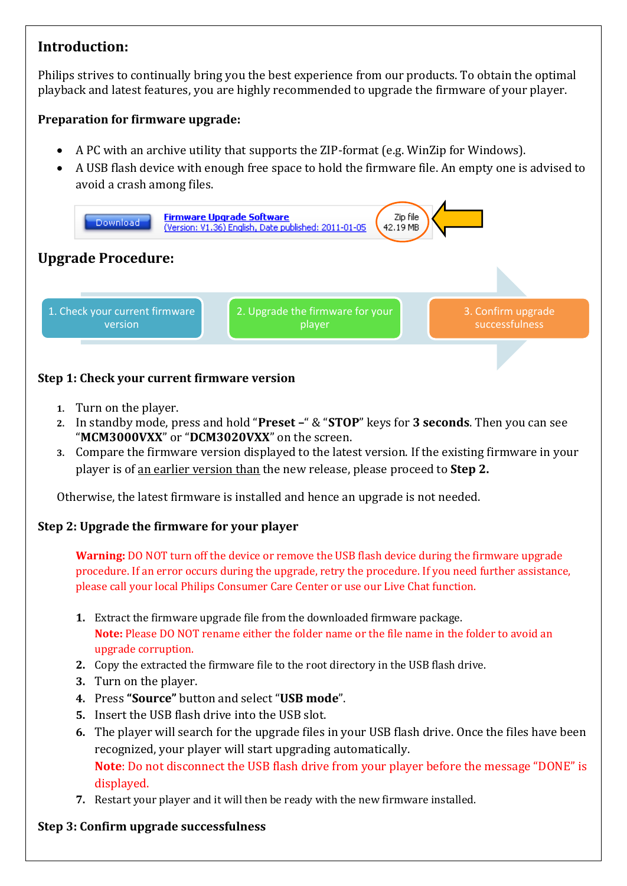# **Introduction:**

Philips strives to continually bring you the best experience from our products. To obtain the optimal playback and latest features, you are highly recommended to upgrade the firmware of your player.

## **Preparation for firmware upgrade:**

- A PC with an archive utility that supports the ZIP-format (e.g. WinZip for Windows).
- A USB flash device with enough free space to hold the firmware file. An empty one is advised to avoid a crash among files.



## **Step 1: Check your current firmware version**

- **1.** Turn on the player.
- **2.** In standby mode, press and hold "**Preset –**" & "**STOP**" keys for **3 seconds**. Then you can see "**MCM3000VXX**" or "**DCM3020VXX**" on the screen.
- **3.** Compare the firmware version displayed to the latest version. If the existing firmware in your player is of an earlier version than the new release, please proceed to **Step 2.**

Otherwise, the latest firmware is installed and hence an upgrade is not needed.

### **Step 2: Upgrade the firmware for your player**

**Warning:** DO NOT turn off the device or remove the USB flash device during the firmware upgrade procedure. If an error occurs during the upgrade, retry the procedure. If you need further assistance, please call your local Philips Consumer Care Center or use our Live Chat function.

- **1.** Extract the firmware upgrade file from the downloaded firmware package. **Note:** Please DO NOT rename either the folder name or the file name in the folder to avoid an upgrade corruption.
- **2.** Copy the extracted the firmware file to the root directory in the USB flash drive.
- **3.** Turn on the player.
- **4.** Press **"Source"** button and select "**USB mode**".
- **5.** Insert the USB flash drive into the USB slot.
- **6.** The player will search for the upgrade files in your USB flash drive. Once the files have been recognized, your player will start upgrading automatically. **Note**: Do not disconnect the USB flash drive from your player before the message "DONE" is displayed.
- **7.** Restart your player and it will then be ready with the new firmware installed.

### **Step 3: Confirm upgrade successfulness**